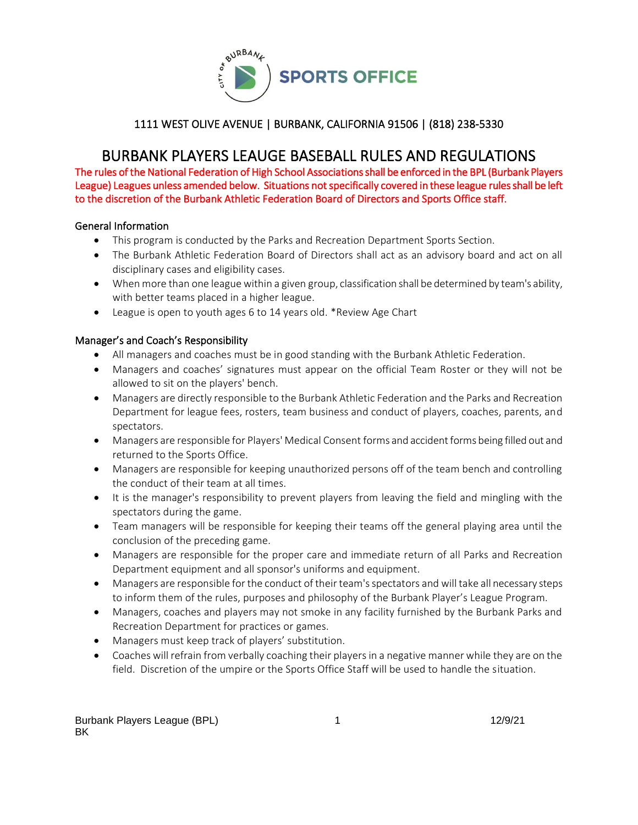

# BURBANK PLAYERS LEAUGE BASEBALL RULES AND REGULATIONS

The rules of the National Federation of High School Associations shall be enforced in the BPL (Burbank Players League) Leagues unless amended below. Situations not specifically covered in these league rules shall be left to the discretion of the Burbank Athletic Federation Board of Directors and Sports Office staff.

#### General Information

- This program is conducted by the Parks and Recreation Department Sports Section.
- The Burbank Athletic Federation Board of Directors shall act as an advisory board and act on all disciplinary cases and eligibility cases.
- When more than one league within a given group, classification shall be determined by team's ability, with better teams placed in a higher league.
- League is open to youth ages 6 to 14 years old. \*Review Age Chart

#### Manager's and Coach's Responsibility

- All managers and coaches must be in good standing with the Burbank Athletic Federation.
- Managers and coaches' signatures must appear on the official Team Roster or they will not be allowed to sit on the players' bench.
- Managers are directly responsible to the Burbank Athletic Federation and the Parks and Recreation Department for league fees, rosters, team business and conduct of players, coaches, parents, and spectators.
- Managers are responsible for Players' Medical Consent forms and accident forms being filled out and returned to the Sports Office.
- Managers are responsible for keeping unauthorized persons off of the team bench and controlling the conduct of their team at all times.
- It is the manager's responsibility to prevent players from leaving the field and mingling with the spectators during the game.
- Team managers will be responsible for keeping their teams off the general playing area until the conclusion of the preceding game.
- Managers are responsible for the proper care and immediate return of all Parks and Recreation Department equipment and all sponsor's uniforms and equipment.
- Managers are responsible for the conduct of their team's spectators and will take all necessary steps to inform them of the rules, purposes and philosophy of the Burbank Player's League Program.
- Managers, coaches and players may not smoke in any facility furnished by the Burbank Parks and Recreation Department for practices or games.
- Managers must keep track of players' substitution.
- Coaches will refrain from verbally coaching their players in a negative manner while they are on the field. Discretion of the umpire or the Sports Office Staff will be used to handle the situation.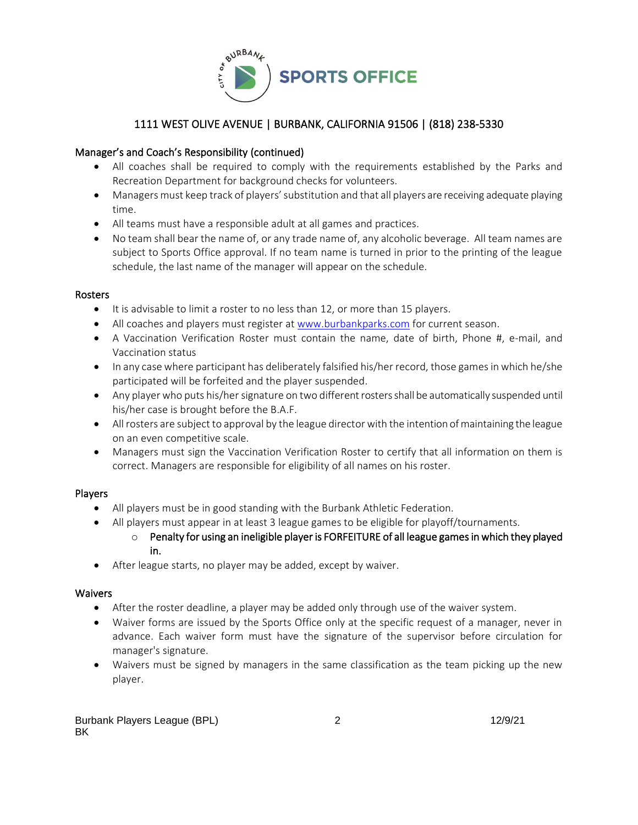

# Manager's and Coach's Responsibility (continued)

- All coaches shall be required to comply with the requirements established by the Parks and Recreation Department for background checks for volunteers.
- Managers must keep track of players' substitution and that all players are receiving adequate playing time.
- All teams must have a responsible adult at all games and practices.
- No team shall bear the name of, or any trade name of, any alcoholic beverage. All team names are subject to Sports Office approval. If no team name is turned in prior to the printing of the league schedule, the last name of the manager will appear on the schedule.

#### Rosters

- It is advisable to limit a roster to no less than 12, or more than 15 players.
- All coaches and players must register at [www.burbankparks.com](http://www.burbankparks.com/) for current season.
- A Vaccination Verification Roster must contain the name, date of birth, Phone #, e-mail, and Vaccination status
- In any case where participant has deliberately falsified his/her record, those games in which he/she participated will be forfeited and the player suspended.
- Any player who puts his/her signature on two different rosters shall be automatically suspended until his/her case is brought before the B.A.F.
- All rosters are subject to approval by the league director with the intention of maintaining the league on an even competitive scale.
- Managers must sign the Vaccination Verification Roster to certify that all information on them is correct. Managers are responsible for eligibility of all names on his roster.

# Players

- All players must be in good standing with the Burbank Athletic Federation.
- All players must appear in at least 3 league games to be eligible for playoff/tournaments.
	- $\circ$  Penalty for using an ineligible player is FORFEITURE of all league games in which they played in.
- After league starts, no player may be added, except by waiver.

# Waivers

- After the roster deadline, a player may be added only through use of the waiver system.
- Waiver forms are issued by the Sports Office only at the specific request of a manager, never in advance. Each waiver form must have the signature of the supervisor before circulation for manager's signature.
- Waivers must be signed by managers in the same classification as the team picking up the new player.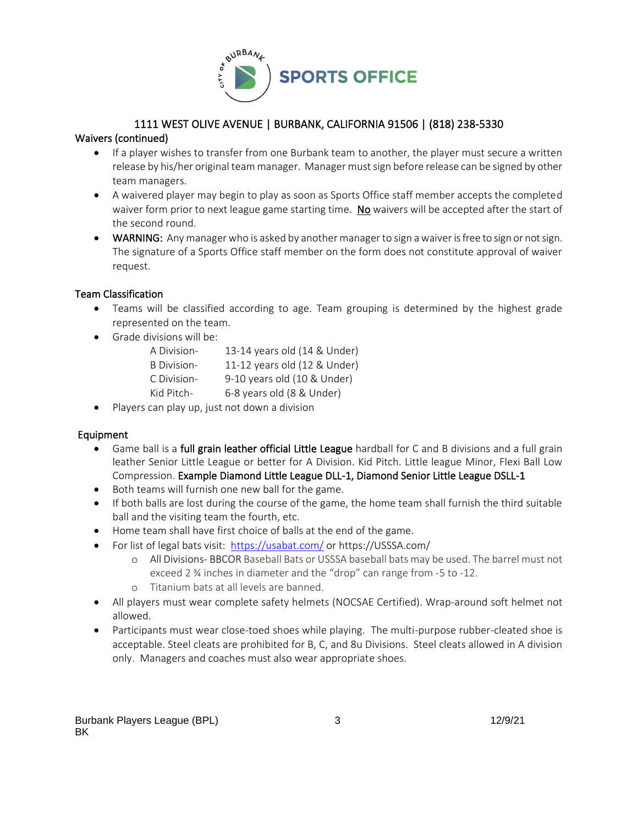

# Waivers (continued)

- If a player wishes to transfer from one Burbank team to another, the player must secure a written release by his/her original team manager. Manager must sign before release can be signed by other team managers.
- A waivered player may begin to play as soon as Sports Office staff member accepts the completed waiver form prior to next league game starting time. No waivers will be accepted after the start of the second round.
- WARNING: Any manager who is asked by another manager to sign a waiver is free to sign or not sign. The signature of a Sports Office staff member on the form does not constitute approval of waiver request.

#### Team Classification

- Teams will be classified according to age. Team grouping is determined by the highest grade represented on the team.
- Grade divisions will be:

| A Division-        | 13-14 years old (14 & Under) |
|--------------------|------------------------------|
| <b>B</b> Division- | 11-12 years old (12 & Under) |
| C Division-        | 9-10 years old (10 & Under)  |
| Kid Pitch-         | 6-8 years old (8 & Under)    |

• Players can play up, just not down a division

#### Equipment

- Game ball is a full grain leather official Little League hardball for C and B divisions and a full grain leather Senior Little League or better for A Division. Kid Pitch. Little league Minor, Flexi Ball Low Compression. Example Diamond Little League DLL-1, Diamond Senior Little League DSLL-1
- Both teams will furnish one new ball for the game.
- If both balls are lost during the course of the game, the home team shall furnish the third suitable ball and the visiting team the fourth, etc.
- Home team shall have first choice of balls at the end of the game.
- For list of legal bats visit: <https://usabat.com/> or https://USSSA.com/
	- o All Divisions- BBCOR Baseball Bats or USSSA baseball bats may be used. The barrel must not exceed 2 ¾ inches in diameter and the "drop" can range from -5 to -12.
	- o Titanium bats at all levels are banned.
- All players must wear complete safety helmets (NOCSAE Certified). Wrap-around soft helmet not allowed.
- Participants must wear close-toed shoes while playing. The multi-purpose rubber-cleated shoe is acceptable. Steel cleats are prohibited for B, C, and 8u Divisions. Steel cleats allowed in A division only. Managers and coaches must also wear appropriate shoes.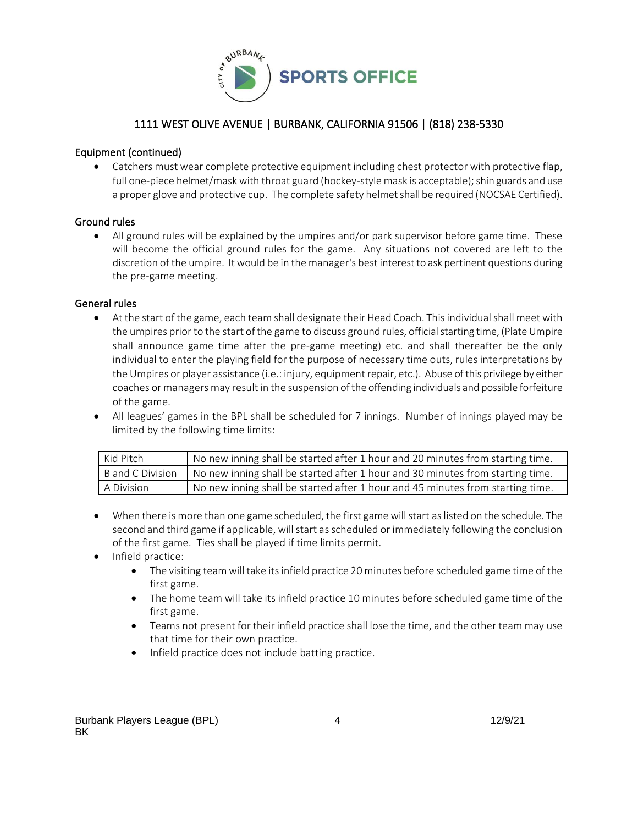

#### Equipment (continued)

• Catchers must wear complete protective equipment including chest protector with protective flap, full one-piece helmet/mask with throat guard (hockey-style mask is acceptable); shin guards and use a proper glove and protective cup. The complete safety helmet shall be required (NOCSAE Certified).

#### Ground rules

• All ground rules will be explained by the umpires and/or park supervisor before game time. These will become the official ground rules for the game. Any situations not covered are left to the discretion of the umpire. It would be in the manager's best interest to ask pertinent questions during the pre-game meeting.

#### General rules

- At the start of the game, each team shall designate their Head Coach. This individual shall meet with the umpires prior to the start of the game to discuss ground rules, official starting time, (Plate Umpire shall announce game time after the pre-game meeting) etc. and shall thereafter be the only individual to enter the playing field for the purpose of necessary time outs, rules interpretations by the Umpires or player assistance (i.e.: injury, equipment repair, etc.). Abuse of this privilege by either coaches or managers may result in the suspension ofthe offending individuals and possible forfeiture of the game.
- All leagues' games in the BPL shall be scheduled for 7 innings. Number of innings played may be limited by the following time limits:

| Kid Pitch        | No new inning shall be started after 1 hour and 20 minutes from starting time. |
|------------------|--------------------------------------------------------------------------------|
| B and C Division | No new inning shall be started after 1 hour and 30 minutes from starting time. |
| A Division       | No new inning shall be started after 1 hour and 45 minutes from starting time. |

- When there is more than one game scheduled, the first game will start as listed on the schedule. The second and third game if applicable, will start as scheduled or immediately following the conclusion of the first game. Ties shall be played if time limits permit.
- Infield practice:
	- The visiting team will take its infield practice 20 minutes before scheduled game time of the first game.
	- The home team will take its infield practice 10 minutes before scheduled game time of the first game.
	- Teams not present for their infield practice shall lose the time, and the other team may use that time for their own practice.
	- Infield practice does not include batting practice.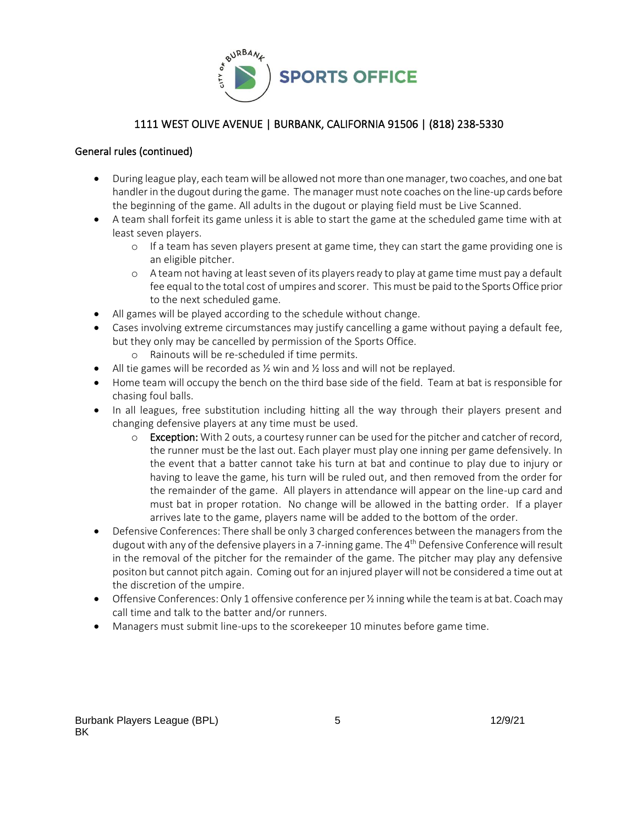

#### General rules (continued)

- During league play, each team will be allowed not more than one manager, two coaches, and one bat handler in the dugout during the game. The manager must note coaches on the line-up cards before the beginning of the game. All adults in the dugout or playing field must be Live Scanned.
- A team shall forfeit its game unless it is able to start the game at the scheduled game time with at least seven players.
	- o If a team has seven players present at game time, they can start the game providing one is an eligible pitcher.
	- o A team not having at least seven of its players ready to play at game time must pay a default fee equal to the total cost of umpires and scorer. This must be paid to the Sports Office prior to the next scheduled game.
- All games will be played according to the schedule without change.
- Cases involving extreme circumstances may justify cancelling a game without paying a default fee, but they only may be cancelled by permission of the Sports Office.
	- o Rainouts will be re-scheduled if time permits.
- All tie games will be recorded as  $\frac{1}{2}$  win and  $\frac{1}{2}$  loss and will not be replayed.
- Home team will occupy the bench on the third base side of the field. Team at bat is responsible for chasing foul balls.
- In all leagues, free substitution including hitting all the way through their players present and changing defensive players at any time must be used.
	- $\circ$  Exception: With 2 outs, a courtesy runner can be used for the pitcher and catcher of record, the runner must be the last out. Each player must play one inning per game defensively. In the event that a batter cannot take his turn at bat and continue to play due to injury or having to leave the game, his turn will be ruled out, and then removed from the order for the remainder of the game. All players in attendance will appear on the line-up card and must bat in proper rotation. No change will be allowed in the batting order. If a player arrives late to the game, players name will be added to the bottom of the order.
- Defensive Conferences: There shall be only 3 charged conferences between the managersfrom the dugout with any of the defensive players in a 7-inning game. The 4<sup>th</sup> Defensive Conference will result in the removal of the pitcher for the remainder of the game. The pitcher may play any defensive positon but cannot pitch again. Coming out for an injured player will not be considered a time out at the discretion of the umpire.
- Offensive Conferences: Only 1 offensive conference per  $\frac{1}{2}$  inning while the team is at bat. Coach may call time and talk to the batter and/or runners.
- Managers must submit line-ups to the scorekeeper 10 minutes before game time.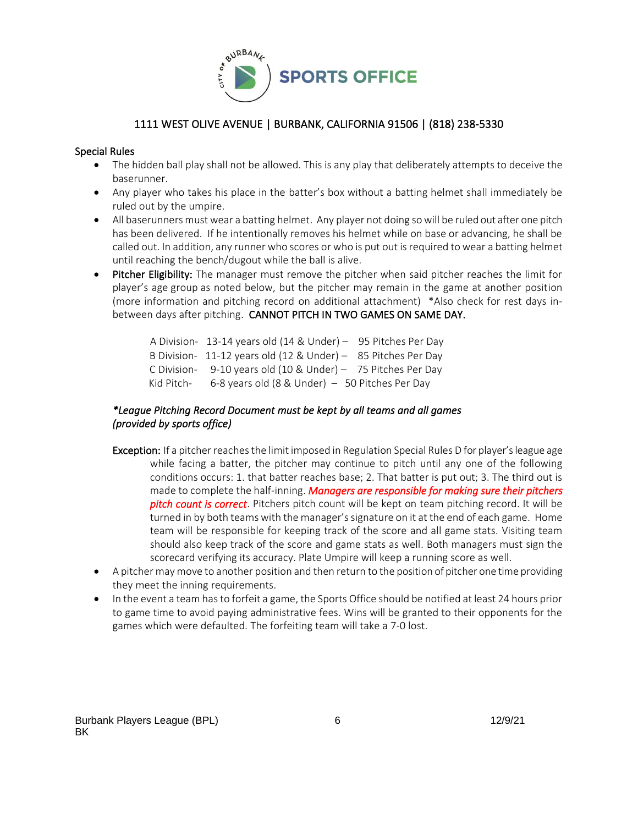

#### Special Rules

- The hidden ball play shall not be allowed. This is any play that deliberately attempts to deceive the baserunner.
- Any player who takes his place in the batter's box without a batting helmet shall immediately be ruled out by the umpire.
- All baserunners must wear a batting helmet. Any player not doing so will be ruled out after one pitch has been delivered. If he intentionally removes his helmet while on base or advancing, he shall be called out. In addition, any runner who scores or who is put out is required to wear a batting helmet until reaching the bench/dugout while the ball is alive.
- Pitcher Eligibility: The manager must remove the pitcher when said pitcher reaches the limit for player's age [group](https://www.littleleague.org/playing-rules/pitch-count/) as noted below, but the pitcher may remain in the game at another position (more information and pitching record on additional attachment) \*Also check for rest days inbetween days after pitching. CANNOT PITCH IN TWO GAMES ON SAME DAY.

A Division- 13-14 years old (14 & Under) – 95 Pitches Per Day B Division- 11-12 years old (12 & Under) – 85 Pitches Per Day C Division- 9-10 years old (10 & Under) – 75 Pitches Per Day Kid Pitch- 6-8 years old (8 & Under) – 50 Pitches Per Day

# *\*League Pitching Record Document must be kept by all teams and all games (provided by sports office)*

- Exception: If a pitcher reaches the limit imposed in Regulation Special Rules D for player's league age while facing a batter, the pitcher may continue to pitch until any one of the following conditions occurs: 1. that batter reaches base; 2. That batter is put out; 3. The third out is made to complete the half-inning. *Managers are responsible for making sure their pitchers pitch count is correct*. Pitchers pitch count will be kept on team pitching record. It will be turned in by both teams with the manager's signature on it at the end of each game. Home team will be responsible for keeping track of the score and all game stats. Visiting team should also keep track of the score and game stats as well. Both managers must sign the scorecard verifying its accuracy. Plate Umpire will keep a running score as well.
- A pitcher may move to another position and then return to the position of pitcher one time providing they meet the inning requirements.
- In the event a team has to forfeit a game, the Sports Office should be notified at least 24 hours prior to game time to avoid paying administrative fees. Wins will be granted to their opponents for the games which were defaulted. The forfeiting team will take a 7-0 lost.